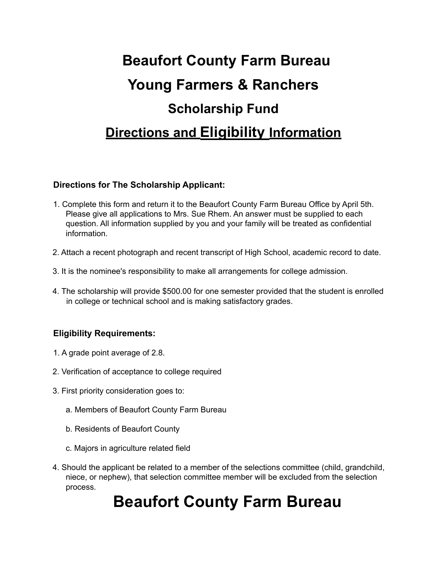## **Beaufort County Farm Bureau Young Farmers & Ranchers Scholarship Fund Directions and Eligibility Information**

#### **Directions for The Scholarship Applicant:**

- 1. Complete this form and return it to the Beaufort County Farm Bureau Office by April 5th. Please give all applications to Mrs. Sue Rhem. An answer must be supplied to each question. All information supplied by you and your family will be treated as confidential information.
- 2. Attach a recent photograph and recent transcript of High School, academic record to date.
- 3. It is the nominee's responsibility to make all arrangements for college admission.
- 4. The scholarship will provide \$500.00 for one semester provided that the student is enrolled in college or technical school and is making satisfactory grades.

### **Eligibility Requirements:**

- 1. A grade point average of 2.8.
- 2. Verification of acceptance to college required
- 3. First priority consideration goes to:
	- a. Members of Beaufort County Farm Bureau
	- b. Residents of Beaufort County
	- c. Majors in agriculture related field
- 4. Should the applicant be related to a member of the selections committee (child, grandchild, niece, or nephew), that selection committee member will be excluded from the selection process.

### **Beaufort County Farm Bureau**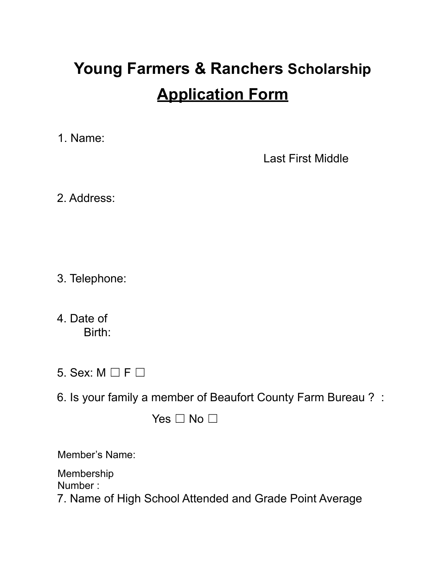# **Young Farmers & Ranchers Scholarship Application Form**

1. Name:

Last First Middle

2. Address:

- 3. Telephone:
- 4. Date of Birth:
- 5. Sex:  $M \square F \square$
- 6. Is your family a member of Beaufort County Farm Bureau ? :

Yes □ No □

Member's Name:

Membership Number :

7. Name of High School Attended and Grade Point Average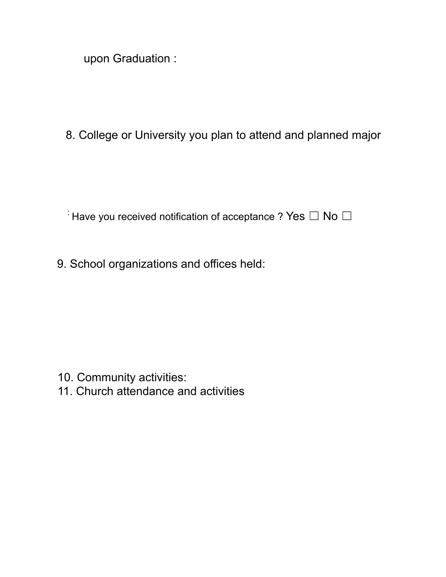upon Graduation :

8. College or University you plan to attend and planned major

 $\overline{a}$ : Have you received notification of acceptance ? Yes  $\Box$  No  $\Box$ 

9. School organizations and offices held:

- 10. Community activities:
- 11. Church attendance and activities